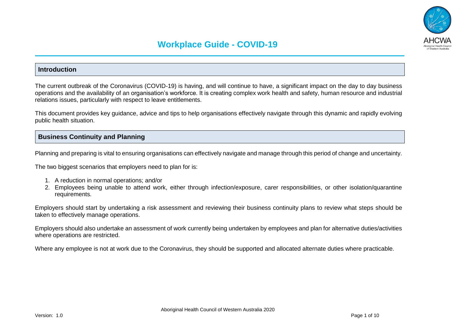

### **Introduction**

The current outbreak of the Coronavirus (COVID-19) is having, and will continue to have, a significant impact on the day to day business operations and the availability of an organisation's workforce. It is creating complex work health and safety, human resource and industrial relations issues, particularly with respect to leave entitlements.

This document provides key guidance, advice and tips to help organisations effectively navigate through this dynamic and rapidly evolving public health situation.

### **Business Continuity and Planning**

Planning and preparing is vital to ensuring organisations can effectively navigate and manage through this period of change and uncertainty.

The two biggest scenarios that employers need to plan for is:

- 1. A reduction in normal operations; and/or
- 2. Employees being unable to attend work, either through infection/exposure, carer responsibilities, or other isolation/quarantine requirements.

Employers should start by undertaking a risk assessment and reviewing their business continuity plans to review what steps should be taken to effectively manage operations.

Employers should also undertake an assessment of work currently being undertaken by employees and plan for alternative duties/activities where operations are restricted.

Where any employee is not at work due to the Coronavirus, they should be supported and allocated alternate duties where practicable.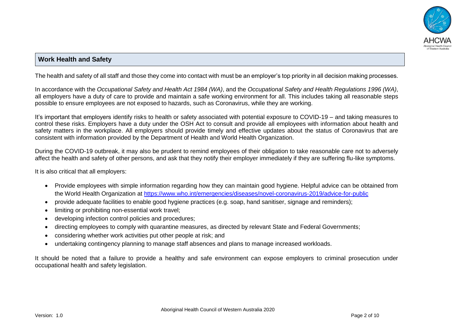

# **Work Health and Safety**

The health and safety of all staff and those they come into contact with must be an employer's top priority in all decision making processes.

In accordance with the *Occupational Safety and Health Act 1984 (WA)*, and the *Occupational Safety and Health Regulations 1996 (WA)*, all employers have a duty of care to provide and maintain a safe working environment for all. This includes taking all reasonable steps possible to ensure employees are not exposed to hazards, such as Coronavirus, while they are working.

It's important that employers identify risks to health or safety associated with potential exposure to COVID-19 – and taking measures to control these risks. Employers have a duty under the OSH Act to consult and provide all employees with information about health and safety matters in the workplace. All employers should provide timely and effective updates about the status of Coronavirus that are consistent with information provided by the Department of Health and World Health Organization.

During the COVID-19 outbreak, it may also be prudent to remind employees of their obligation to take reasonable care not to adversely affect the health and safety of other persons, and ask that they notify their employer immediately if they are suffering flu-like symptoms.

It is also critical that all employers:

- Provide employees with simple information regarding how they can maintain good hygiene. Helpful advice can be obtained from the World Health Organization at <https://www.who.int/emergencies/diseases/novel-coronavirus-2019/advice-for-public>
- provide adequate facilities to enable good hygiene practices (e.g. soap, hand sanitiser, signage and reminders);
- limiting or prohibiting non-essential work travel;
- developing infection control policies and procedures;
- directing employees to comply with quarantine measures, as directed by relevant State and Federal Governments;
- considering whether work activities put other people at risk; and
- undertaking contingency planning to manage staff absences and plans to manage increased workloads.

It should be noted that a failure to provide a healthy and safe environment can expose employers to criminal prosecution under occupational health and safety legislation.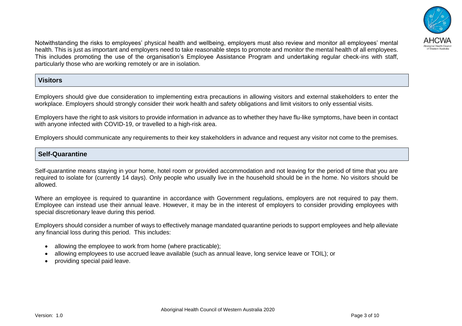

Notwithstanding the risks to employees' physical health and wellbeing, employers must also review and monitor all employees' mental health. This is just as important and employers need to take reasonable steps to promote and monitor the mental health of all employees. This includes promoting the use of the organisation's Employee Assistance Program and undertaking regular check-ins with staff, particularly those who are working remotely or are in isolation.

## **Visitors**

Employers should give due consideration to implementing extra precautions in allowing visitors and external stakeholders to enter the workplace. Employers should strongly consider their work health and safety obligations and limit visitors to only essential visits.

Employers have the right to ask visitors to provide information in advance as to whether they have flu-like symptoms, have been in contact with anyone infected with COVID-19, or travelled to a high-risk area.

Employers should communicate any requirements to their key stakeholders in advance and request any visitor not come to the premises.

## **Self-Quarantine**

Self-quarantine means staying in your home, hotel room or provided accommodation and not leaving for the period of time that you are required to isolate for (currently 14 days). Only people who usually live in the household should be in the home. No visitors should be allowed.

Where an employee is required to quarantine in accordance with Government regulations, employers are not required to pay them. Employee can instead use their annual leave. However, it may be in the interest of employers to consider providing employees with special discretionary leave during this period.

Employers should consider a number of ways to effectively manage mandated quarantine periods to support employees and help alleviate any financial loss during this period. This includes:

- allowing the employee to work from home (where practicable);
- allowing employees to use accrued leave available (such as annual leave, long service leave or TOIL); or
- providing special paid leave.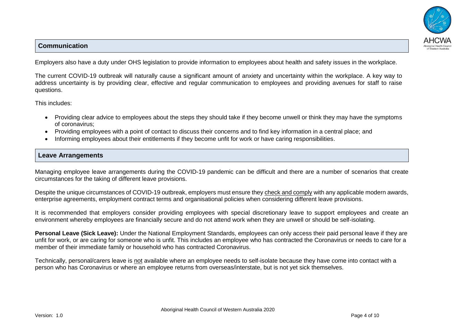# **Communication**



Employers also have a duty under OHS legislation to provide information to employees about health and safety issues in the workplace.

The current COVID-19 outbreak will naturally cause a significant amount of anxiety and uncertainty within the workplace. A key way to address uncertainty is by providing clear, effective and regular communication to employees and providing avenues for staff to raise questions.

This includes:

- Providing clear advice to employees about the steps they should take if they become unwell or think they may have the symptoms of coronavirus;
- Providing employees with a point of contact to discuss their concerns and to find key information in a central place; and
- Informing employees about their entitlements if they become unfit for work or have caring responsibilities.

# **Leave Arrangements**

Managing employee leave arrangements during the COVID-19 pandemic can be difficult and there are a number of scenarios that create circumstances for the taking of different leave provisions.

Despite the unique circumstances of COVID-19 outbreak, employers must ensure they check and comply with any applicable modern awards, enterprise agreements, employment contract terms and organisational policies when considering different leave provisions.

It is recommended that employers consider providing employees with special discretionary leave to support employees and create an environment whereby employees are financially secure and do not attend work when they are unwell or should be self-isolating.

**Personal Leave (Sick Leave):** Under the National Employment Standards, employees can only access their paid personal leave if they are unfit for work, or are caring for someone who is unfit. This includes an employee who has contracted the Coronavirus or needs to care for a member of their immediate family or household who has contracted Coronavirus.

Technically, personal/carers leave is not available where an employee needs to self-isolate because they have come into contact with a person who has Coronavirus or where an employee returns from overseas/interstate, but is not yet sick themselves.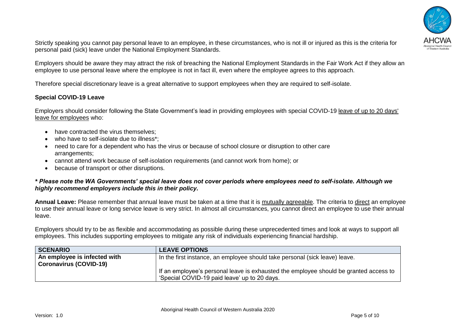

Strictly speaking you cannot pay personal leave to an employee, in these circumstances, who is not ill or injured as this is the criteria for personal paid (sick) leave under the National Employment Standards.

Employers should be aware they may attract the risk of breaching the National Employment Standards in the Fair Work Act if they allow an employee to use personal leave where the employee is not in fact ill, even where the employee agrees to this approach.

Therefore special discretionary leave is a great alternative to support employees when they are required to self-isolate.

### **Special COVID-19 Leave**

Employers should consider following the State Government's lead in providing employees with special COVID-19 leave of up to 20 days' leave for employees who:

- have contracted the virus themselves:
- who have to self-isolate due to illness\*:
- need to care for a dependent who has the virus or because of school closure or disruption to other care arrangements;
- cannot attend work because of self-isolation requirements (and cannot work from home); or
- because of transport or other disruptions.

#### *\* Please note the WA Governments' special leave does not cover periods where employees need to self-isolate. Although we highly recommend employers include this in their policy.*

**Annual Leave:** Please remember that annual leave must be taken at a time that it is mutually agreeable. The criteria to direct an employee to use their annual leave or long service leave is very strict. In almost all circumstances, you cannot direct an employee to use their annual leave.

Employers should try to be as flexible and accommodating as possible during these unprecedented times and look at ways to support all employees. This includes supporting employees to mitigate any risk of individuals experiencing financial hardship.

| <b>SCENARIO</b>               | <b>LEAVE OPTIONS</b>                                                                  |
|-------------------------------|---------------------------------------------------------------------------------------|
| An employee is infected with  | In the first instance, an employee should take personal (sick leave) leave.           |
| <b>Coronavirus (COVID-19)</b> |                                                                                       |
|                               | If an employee's personal leave is exhausted the employee should be granted access to |
|                               | 'Special COVID-19 paid leave' up to 20 days.                                          |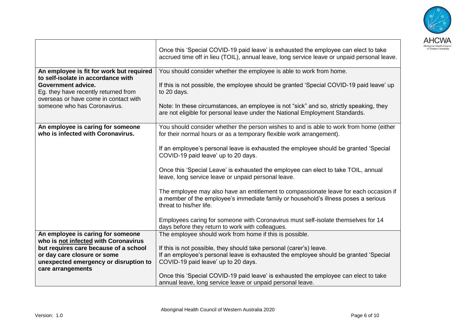

|                                                                                                                                                                                                                       | Once this 'Special COVID-19 paid leave' is exhausted the employee can elect to take<br>accrued time off in lieu (TOIL), annual leave, long service leave or unpaid personal leave.                                                                                                                                                                                                                                                                                                                                                                                                                                                                                                                                                                                                            |
|-----------------------------------------------------------------------------------------------------------------------------------------------------------------------------------------------------------------------|-----------------------------------------------------------------------------------------------------------------------------------------------------------------------------------------------------------------------------------------------------------------------------------------------------------------------------------------------------------------------------------------------------------------------------------------------------------------------------------------------------------------------------------------------------------------------------------------------------------------------------------------------------------------------------------------------------------------------------------------------------------------------------------------------|
| An employee is fit for work but required<br>to self-isolate in accordance with<br>Government advice.<br>Eg. they have recently returned from<br>overseas or have come in contact with<br>someone who has Coronavirus. | You should consider whether the employee is able to work from home.<br>If this is not possible, the employee should be granted 'Special COVID-19 paid leave' up<br>to 20 days.<br>Note: In these circumstances, an employee is not "sick" and so, strictly speaking, they<br>are not eligible for personal leave under the National Employment Standards.                                                                                                                                                                                                                                                                                                                                                                                                                                     |
| An employee is caring for someone<br>who is infected with Coronavirus.                                                                                                                                                | You should consider whether the person wishes to and is able to work from home (either<br>for their normal hours or as a temporary flexible work arrangement).<br>If an employee's personal leave is exhausted the employee should be granted 'Special<br>COVID-19 paid leave' up to 20 days.<br>Once this 'Special Leave' is exhausted the employee can elect to take TOIL, annual<br>leave, long service leave or unpaid personal leave.<br>The employee may also have an entitlement to compassionate leave for each occasion if<br>a member of the employee's immediate family or household's illness poses a serious<br>threat to his/her life.<br>Employees caring for someone with Coronavirus must self-isolate themselves for 14<br>days before they return to work with colleagues. |
| An employee is caring for someone<br>who is not infected with Coronavirus<br>but requires care because of a school<br>or day care closure or some<br>unexpected emergency or disruption to<br>care arrangements       | The employee should work from home if this is possible.<br>If this is not possible, they should take personal (carer's) leave.<br>If an employee's personal leave is exhausted the employee should be granted 'Special<br>COVID-19 paid leave' up to 20 days.<br>Once this 'Special COVID-19 paid leave' is exhausted the employee can elect to take<br>annual leave, long service leave or unpaid personal leave.                                                                                                                                                                                                                                                                                                                                                                            |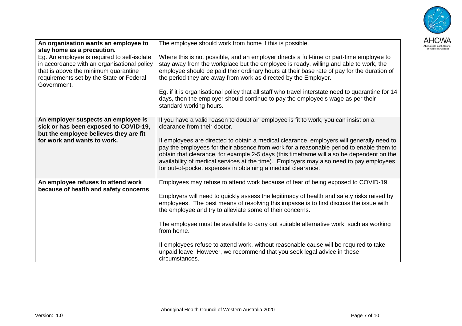

| An organisation wants an employee to                                                | The employee should work from home if this is possible.                                                                                                                             |
|-------------------------------------------------------------------------------------|-------------------------------------------------------------------------------------------------------------------------------------------------------------------------------------|
| stay home as a precaution.                                                          |                                                                                                                                                                                     |
| Eg. An employee is required to self-isolate                                         | Where this is not possible, and an employer directs a full-time or part-time employee to                                                                                            |
| in accordance with an organisational policy<br>that is above the minimum quarantine | stay away from the workplace but the employee is ready, willing and able to work, the<br>employee should be paid their ordinary hours at their base rate of pay for the duration of |
| requirements set by the State or Federal                                            | the period they are away from work as directed by the Employer.                                                                                                                     |
| Government.                                                                         |                                                                                                                                                                                     |
|                                                                                     | Eq. if it is organisational policy that all staff who travel interstate need to quarantine for 14                                                                                   |
|                                                                                     | days, then the employer should continue to pay the employee's wage as per their                                                                                                     |
|                                                                                     | standard working hours.                                                                                                                                                             |
|                                                                                     |                                                                                                                                                                                     |
| An employer suspects an employee is                                                 | If you have a valid reason to doubt an employee is fit to work, you can insist on a                                                                                                 |
| sick or has been exposed to COVID-19,<br>but the employee believes they are fit     | clearance from their doctor.                                                                                                                                                        |
| for work and wants to work.                                                         | If employees are directed to obtain a medical clearance, employers will generally need to                                                                                           |
|                                                                                     | pay the employees for their absence from work for a reasonable period to enable them to                                                                                             |
|                                                                                     | obtain that clearance, for example 2-5 days (this timeframe will also be dependent on the                                                                                           |
|                                                                                     | availability of medical services at the time). Employers may also need to pay employees                                                                                             |
|                                                                                     | for out-of-pocket expenses in obtaining a medical clearance.                                                                                                                        |
|                                                                                     |                                                                                                                                                                                     |
| An employee refuses to attend work<br>because of health and safety concerns         | Employees may refuse to attend work because of fear of being exposed to COVID-19.                                                                                                   |
|                                                                                     | Employers will need to quickly assess the legitimacy of health and safety risks raised by                                                                                           |
|                                                                                     | employees. The best means of resolving this impasse is to first discuss the issue with                                                                                              |
|                                                                                     | the employee and try to alleviate some of their concerns.                                                                                                                           |
|                                                                                     |                                                                                                                                                                                     |
|                                                                                     | The employee must be available to carry out suitable alternative work, such as working                                                                                              |
|                                                                                     | from home.                                                                                                                                                                          |
|                                                                                     |                                                                                                                                                                                     |
|                                                                                     | If employees refuse to attend work, without reasonable cause will be required to take<br>unpaid leave. However, we recommend that you seek legal advice in these                    |
|                                                                                     | circumstances.                                                                                                                                                                      |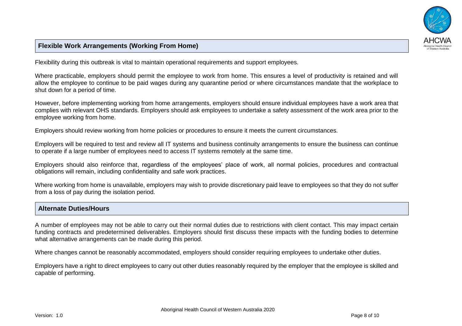

# **Flexible Work Arrangements (Working From Home)**

Flexibility during this outbreak is vital to maintain operational requirements and support employees.

Where practicable, employers should permit the employee to work from home. This ensures a level of productivity is retained and will allow the employee to continue to be paid wages during any quarantine period or where circumstances mandate that the workplace to shut down for a period of time.

However, before implementing working from home arrangements, employers should ensure individual employees have a work area that complies with relevant OHS standards. Employers should ask employees to undertake a safety assessment of the work area prior to the employee working from home.

Employers should review working from home policies or procedures to ensure it meets the current circumstances.

Employers will be required to test and review all IT systems and business continuity arrangements to ensure the business can continue to operate if a large number of employees need to access IT systems remotely at the same time.

Employers should also reinforce that, regardless of the employees' place of work, all normal policies, procedures and contractual obligations will remain, including confidentiality and safe work practices.

Where working from home is unavailable, employers may wish to provide discretionary paid leave to employees so that they do not suffer from a loss of pay during the isolation period.

### **Alternate Duties/Hours**

A number of employees may not be able to carry out their normal duties due to restrictions with client contact. This may impact certain funding contracts and predetermined deliverables. Employers should first discuss these impacts with the funding bodies to determine what alternative arrangements can be made during this period.

Where changes cannot be reasonably accommodated, employers should consider requiring employees to undertake other duties.

Employers have a right to direct employees to carry out other duties reasonably required by the employer that the employee is skilled and capable of performing.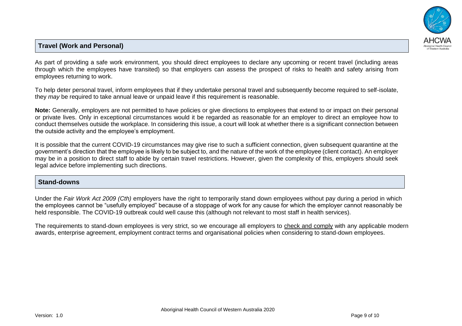

# **Travel (Work and Personal)**

As part of providing a safe work environment, you should direct employees to declare any upcoming or recent travel (including areas through which the employees have transited) so that employers can assess the prospect of risks to health and safety arising from employees returning to work.

To help deter personal travel, inform employees that if they undertake personal travel and subsequently become required to self-isolate, they *may* be required to take annual leave or unpaid leave if this requirement is reasonable.

**Note:** Generally, employers are not permitted to have policies or give directions to employees that extend to or impact on their personal or private lives. Only in exceptional circumstances would it be regarded as reasonable for an employer to direct an employee how to conduct themselves outside the workplace. In considering this issue, a court will look at whether there is a significant connection between the outside activity and the employee's employment.

It is possible that the current COVID-19 circumstances may give rise to such a sufficient connection, given subsequent quarantine at the government's direction that the employee is likely to be subject to, and the nature of the work of the employee (client contact). An employer may be in a position to direct staff to abide by certain travel restrictions. However, given the complexity of this, employers should seek legal advice before implementing such directions.

### **Stand-downs**

Under the *Fair Work Act 2009 (Cth)* employers have the right to temporarily stand down employees without pay during a period in which the employees cannot be "usefully employed" because of a stoppage of work for any cause for which the employer cannot reasonably be held responsible. The COVID-19 outbreak could well cause this (although not relevant to most staff in health services).

The requirements to stand-down employees is very strict, so we encourage all employers to check and comply with any applicable modern awards, enterprise agreement, employment contract terms and organisational policies when considering to stand-down employees.